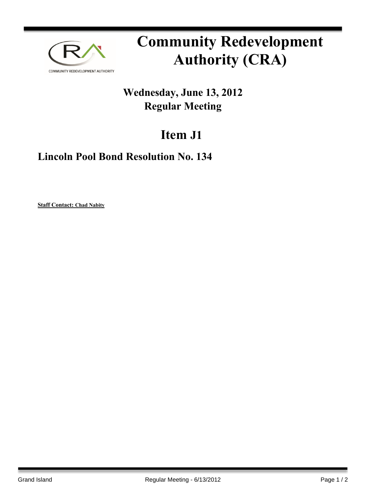

# **Community Redevelopment Authority (CRA)**

## **Wednesday, June 13, 2012 Regular Meeting**

## **Item J1**

### **Lincoln Pool Bond Resolution No. 134**

**Staff Contact: Chad Nabity**